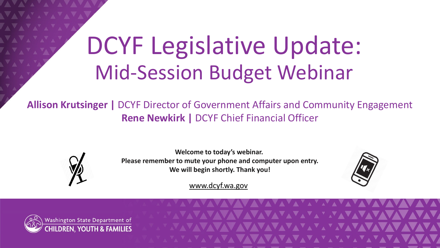# DCYF Legislative Update: Mid-Session Budget Webinar

**Allison Krutsinger |** DCYF Director of Government Affairs and Community Engagement **Rene Newkirk |** DCYF Chief Financial Officer



**Welcome to today's webinar. Please remember to mute your phone and computer upon entry. We will begin shortly. Thank you!**



[www.dcyf.wa.gov](http://www.dcyf.wa.gov/)



VAVAVAVAVAVA<sup>V</sup>AVAVAVAVAV WAVAVAVAVAY MAVAVAV 1 VAVAVAVAVAVAVAVAVAVAVAVAV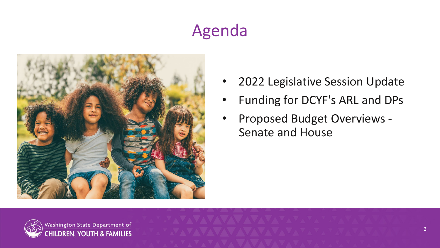# Agenda



- 2022 Legislative Session Update
- Funding for DCYF's ARL and DPs
- Proposed Budget Overviews Senate and House

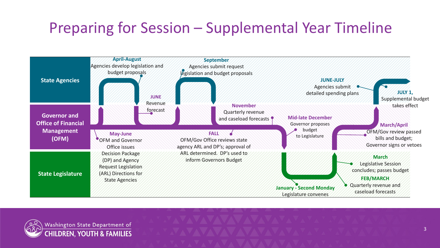#### Preparing for Session – Supplemental Year Timeline



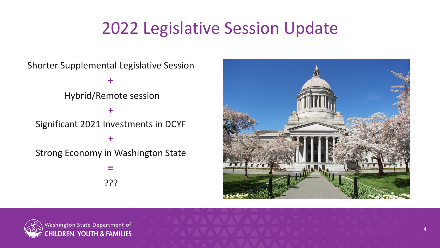### 2022 Legislative Session Update

Shorter Supplemental Legislative Session

**+**

Hybrid/Remote session

Significant 2021 Investments in DCYF

**+**

**+**

Strong Economy in Washington State

**=** ???



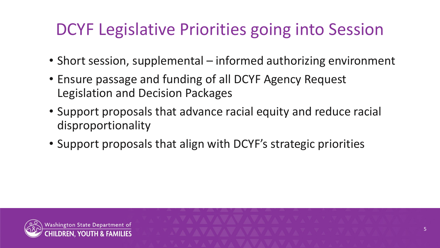# DCYF Legislative Priorities going into Session

- Short session, supplemental informed authorizing environment
- Ensure passage and funding of all DCYF Agency Request Legislation and Decision Packages
- Support proposals that advance racial equity and reduce racial disproportionality
- Support proposals that align with DCYF's strategic priorities

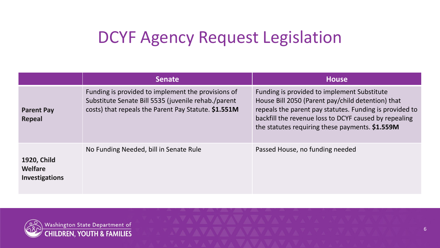### DCYF Agency Request Legislation

|                                          | <b>Senate</b>                                                                                                                                                     | <b>House</b>                                                                                                                                                                                                                                                            |
|------------------------------------------|-------------------------------------------------------------------------------------------------------------------------------------------------------------------|-------------------------------------------------------------------------------------------------------------------------------------------------------------------------------------------------------------------------------------------------------------------------|
| <b>Parent Pay</b><br><b>Repeal</b>       | Funding is provided to implement the provisions of<br>Substitute Senate Bill 5535 (juvenile rehab./parent<br>costs) that repeals the Parent Pay Statute. \$1.551M | Funding is provided to implement Substitute<br>House Bill 2050 (Parent pay/child detention) that<br>repeals the parent pay statutes. Funding is provided to<br>backfill the revenue loss to DCYF caused by repealing<br>the statutes requiring these payments. \$1.559M |
| 1920, Child<br>Welfare<br>Investigations | No Funding Needed, bill in Senate Rule                                                                                                                            | Passed House, no funding needed                                                                                                                                                                                                                                         |



6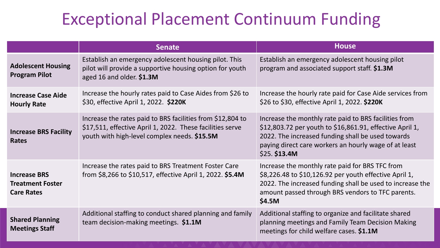#### Exceptional Placement Continuum Funding

|                                                                     | <b>Senate</b>                                                                                                                                                           | <b>House</b>                                                                                                                                                                                                                                     |
|---------------------------------------------------------------------|-------------------------------------------------------------------------------------------------------------------------------------------------------------------------|--------------------------------------------------------------------------------------------------------------------------------------------------------------------------------------------------------------------------------------------------|
| <b>Adolescent Housing</b><br><b>Program Pilot</b>                   | Establish an emergency adolescent housing pilot. This<br>pilot will provide a supportive housing option for youth<br>aged 16 and older. \$1.3M                          | Establish an emergency adolescent housing pilot<br>program and associated support staff. \$1.3M                                                                                                                                                  |
| <b>Increase Case Aide</b><br><b>Hourly Rate</b>                     | Increase the hourly rates paid to Case Aides from \$26 to<br>\$30, effective April 1, 2022. \$220K                                                                      | Increase the hourly rate paid for Case Aide services from<br>\$26 to \$30, effective April 1, 2022. \$220K                                                                                                                                       |
| <b>Increase BRS Facility</b><br><b>Rates</b>                        | Increase the rates paid to BRS facilities from \$12,804 to<br>\$17,511, effective April 1, 2022. These facilities serve<br>youth with high-level complex needs. \$15.5M | Increase the monthly rate paid to BRS facilities from<br>\$12,803.72 per youth to \$16,861.91, effective April 1,<br>2022. The increased funding shall be used towards<br>paying direct care workers an hourly wage of at least<br>\$25. \$13.4M |
| <b>Increase BRS</b><br><b>Treatment Foster</b><br><b>Care Rates</b> | Increase the rates paid to BRS Treatment Foster Care<br>from \$8,266 to \$10,517, effective April 1, 2022. \$5.4M                                                       | Increase the monthly rate paid for BRS TFC from<br>\$8,226.48 to \$10,126.92 per youth effective April 1,<br>2022. The increased funding shall be used to increase the<br>amount passed through BRS vendors to TFC parents.<br>\$4.5M            |
| <b>Shared Planning</b><br><b>Meetings Staff</b>                     | Additional staffing to conduct shared planning and family<br>team decision-making meetings. \$1.1M                                                                      | Additional staffing to organize and facilitate shared<br>planning meetings and Family Team Decision Making<br>meetings for child welfare cases. \$1.1M                                                                                           |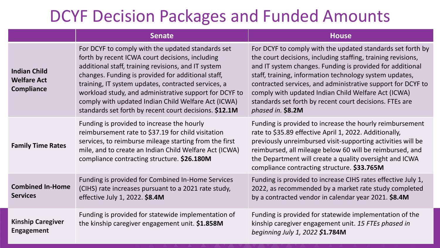#### DCYF Decision Packages and Funded Amounts

|                                                                | <b>Senate</b>                                                                                                                                                                                                                                                                                                                                                                                                                                       | <b>House</b>                                                                                                                                                                                                                                                                                                                                                                                                                                             |
|----------------------------------------------------------------|-----------------------------------------------------------------------------------------------------------------------------------------------------------------------------------------------------------------------------------------------------------------------------------------------------------------------------------------------------------------------------------------------------------------------------------------------------|----------------------------------------------------------------------------------------------------------------------------------------------------------------------------------------------------------------------------------------------------------------------------------------------------------------------------------------------------------------------------------------------------------------------------------------------------------|
| <b>Indian Child</b><br><b>Welfare Act</b><br><b>Compliance</b> | For DCYF to comply with the updated standards set<br>forth by recent ICWA court decisions, including<br>additional staff, training revisions, and IT system<br>changes. Funding is provided for additional staff,<br>training, IT system updates, contracted services, a<br>workload study, and administrative support for DCYF to<br>comply with updated Indian Child Welfare Act (ICWA)<br>standards set forth by recent court decisions. \$12.1M | For DCYF to comply with the updated standards set forth by<br>the court decisions, including staffing, training revisions,<br>and IT system changes. Funding is provided for additional<br>staff, training, information technology system updates,<br>contracted services, and administrative support for DCYF to<br>comply with updated Indian Child Welfare Act (ICWA)<br>standards set forth by recent court decisions. FTEs are<br>phased in. \$8.2M |
| <b>Family Time Rates</b>                                       | Funding is provided to increase the hourly<br>reimbursement rate to \$37.19 for child visitation<br>services, to reimburse mileage starting from the first<br>mile, and to create an Indian Child Welfare Act (ICWA)<br>compliance contracting structure. \$26.180M                                                                                                                                                                                 | Funding is provided to increase the hourly reimbursement<br>rate to \$35.89 effective April 1, 2022. Additionally,<br>previously unreimbursed visit-supporting activities will be<br>reimbursed, all mileage below 60 will be reimbursed, and<br>the Department will create a quality oversight and ICWA<br>compliance contracting structure. \$33.765M                                                                                                  |
| <b>Combined In-Home</b><br><b>Services</b>                     | Funding is provided for Combined In-Home Services<br>(CIHS) rate increases pursuant to a 2021 rate study,<br>effective July 1, 2022. \$8.4M                                                                                                                                                                                                                                                                                                         | Funding is provided to increase CIHS rates effective July 1,<br>2022, as recommended by a market rate study completed<br>by a contracted vendor in calendar year 2021. \$8.4M                                                                                                                                                                                                                                                                            |
| <b>Kinship Caregiver</b><br><b>Engagement</b>                  | Funding is provided for statewide implementation of<br>the kinship caregiver engagement unit. \$1.858M                                                                                                                                                                                                                                                                                                                                              | Funding is provided for statewide implementation of the<br>kinship caregiver engagement unit. 15 FTEs phased in<br>beginning July 1, 2022 \$1.784M                                                                                                                                                                                                                                                                                                       |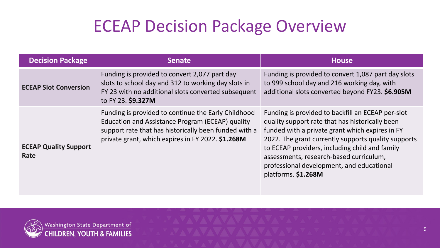### ECEAP Decision Package Overview

| <b>Decision Package</b>              | Senate                                                                                                                                                                                                                | <b>House</b>                                                                                                                                                                                                                                                                                                                                                                    |
|--------------------------------------|-----------------------------------------------------------------------------------------------------------------------------------------------------------------------------------------------------------------------|---------------------------------------------------------------------------------------------------------------------------------------------------------------------------------------------------------------------------------------------------------------------------------------------------------------------------------------------------------------------------------|
| <b>ECEAP Slot Conversion</b>         | Funding is provided to convert 2,077 part day<br>slots to school day and 312 to working day slots in<br>FY 23 with no additional slots converted subsequent<br>to FY 23. \$9.327M                                     | Funding is provided to convert 1,087 part day slots<br>to 999 school day and 216 working day, with<br>additional slots converted beyond FY23. \$6.905M                                                                                                                                                                                                                          |
| <b>ECEAP Quality Support</b><br>Rate | Funding is provided to continue the Early Childhood<br>Education and Assistance Program (ECEAP) quality<br>support rate that has historically been funded with a<br>private grant, which expires in FY 2022. \$1.268M | Funding is provided to backfill an ECEAP per-slot<br>quality support rate that has historically been<br>funded with a private grant which expires in FY<br>2022. The grant currently supports quality supports<br>to ECEAP providers, including child and family<br>assessments, research-based curriculum,<br>professional development, and educational<br>platforms. \$1.268M |

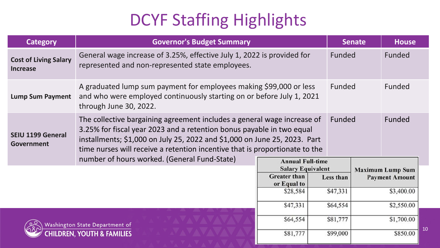# DCYF Staffing Highlights

| <b>Category</b>                                                         | <b>Governor's Budget Summary</b>                                                                                                                                                                                                                                                                                       |                         |                                                  | <b>Senate</b> | <b>House</b> |    |
|-------------------------------------------------------------------------|------------------------------------------------------------------------------------------------------------------------------------------------------------------------------------------------------------------------------------------------------------------------------------------------------------------------|-------------------------|--------------------------------------------------|---------------|--------------|----|
| <b>Cost of Living Salary</b><br><b>Increase</b>                         | General wage increase of 3.25%, effective July 1, 2022 is provided for<br>represented and non-represented state employees.                                                                                                                                                                                             | <b>Funded</b>           |                                                  | Funded        |              |    |
| <b>Lump Sum Payment</b>                                                 | A graduated lump sum payment for employees making \$99,000 or less<br>Funded<br>and who were employed continuously starting on or before July 1, 2021<br>through June 30, 2022.                                                                                                                                        |                         |                                                  |               | Funded       |    |
| <b>SEIU 1199 General</b><br>Government                                  | The collective bargaining agreement includes a general wage increase of<br>Funded<br>3.25% for fiscal year 2023 and a retention bonus payable in two equal<br>installments; \$1,000 on July 25, 2022 and \$1,000 on June 25, 2023. Part<br>time nurses will receive a retention incentive that is proportionate to the |                         |                                                  | Funded        |              |    |
|                                                                         | number of hours worked. (General Fund-State)                                                                                                                                                                                                                                                                           | <b>Annual Full-time</b> |                                                  |               |              |    |
| <b>Salary Equivalent</b><br><b>Greater</b> than<br>or Equal to          |                                                                                                                                                                                                                                                                                                                        | Less than               | <b>Maximum Lump Sum</b><br><b>Payment Amount</b> |               |              |    |
| \$28,584                                                                |                                                                                                                                                                                                                                                                                                                        | \$47,331                |                                                  | \$3,400.00    |              |    |
|                                                                         |                                                                                                                                                                                                                                                                                                                        | \$47,331                | \$64,554                                         |               | \$2,550.00   |    |
| Washington State Department of<br><b>CHILDREN, YOUTH &amp; FAMILIES</b> |                                                                                                                                                                                                                                                                                                                        | \$64,554                | \$81,777                                         |               | \$1,700.00   |    |
|                                                                         |                                                                                                                                                                                                                                                                                                                        | \$81,777                | \$99,000                                         |               | \$850.00     | 10 |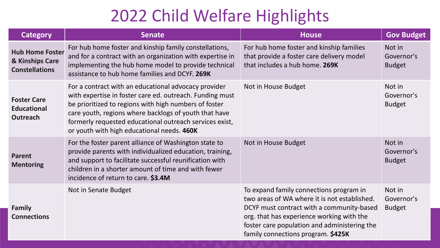### 2022 Child Welfare Highlights

| <b>Category</b>                                                    | <b>Senate</b>                                                                                                                                                                                                                                                                                                                               | <b>House</b>                                                                                                                                                                                                                                                            | <b>Gov Budget</b>                     |
|--------------------------------------------------------------------|---------------------------------------------------------------------------------------------------------------------------------------------------------------------------------------------------------------------------------------------------------------------------------------------------------------------------------------------|-------------------------------------------------------------------------------------------------------------------------------------------------------------------------------------------------------------------------------------------------------------------------|---------------------------------------|
| <b>Hub Home Foster</b><br>& Kinships Care<br><b>Constellations</b> | For hub home foster and kinship family constellations,<br>and for a contract with an organization with expertise in<br>implementing the hub home model to provide technical<br>assistance to hub home families and DCYF. 269K                                                                                                               | For hub home foster and kinship families<br>that provide a foster care delivery model<br>that includes a hub home. 269K                                                                                                                                                 | Not in<br>Governor's<br><b>Budget</b> |
| <b>Foster Care</b><br><b>Educational</b><br><b>Outreach</b>        | For a contract with an educational advocacy provider<br>with expertise in foster care ed. outreach. Funding must<br>be prioritized to regions with high numbers of foster<br>care youth, regions where backlogs of youth that have<br>formerly requested educational outreach services exist,<br>or youth with high educational needs. 460K | Not in House Budget                                                                                                                                                                                                                                                     | Not in<br>Governor's<br><b>Budget</b> |
| <b>Parent</b><br><b>Mentoring</b>                                  | For the foster parent alliance of Washington state to<br>provide parents with individualized education, training,<br>and support to facilitate successful reunification with<br>children in a shorter amount of time and with fewer<br>incidence of return to care. \$3.4M                                                                  | Not in House Budget                                                                                                                                                                                                                                                     | Not in<br>Governor's<br><b>Budget</b> |
| <b>Family</b><br><b>Connections</b>                                | Not in Senate Budget                                                                                                                                                                                                                                                                                                                        | To expand family connections program in<br>two areas of WA where it is not established.<br>DCYF must contract with a community-based<br>org. that has experience working with the<br>foster care population and administering the<br>family connections program. \$425K | Not in<br>Governor's<br><b>Budget</b> |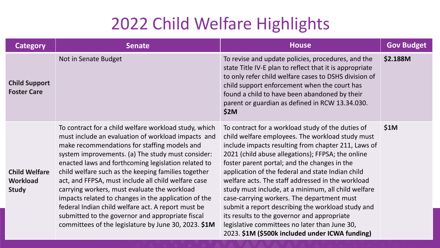#### 2022 Child Welfare Highlights

| <b>Category</b>                                         | <b>Senate</b>                                                                                                                                                                                                                                                                                                                                                                                                                                                                                                                                                                                                                                                   | <b>House</b>                                                                                                                                                                                                                                                                                                                                                                                                                                                                                                                                                                                                                                                                             | <b>Gov Budget</b> |
|---------------------------------------------------------|-----------------------------------------------------------------------------------------------------------------------------------------------------------------------------------------------------------------------------------------------------------------------------------------------------------------------------------------------------------------------------------------------------------------------------------------------------------------------------------------------------------------------------------------------------------------------------------------------------------------------------------------------------------------|------------------------------------------------------------------------------------------------------------------------------------------------------------------------------------------------------------------------------------------------------------------------------------------------------------------------------------------------------------------------------------------------------------------------------------------------------------------------------------------------------------------------------------------------------------------------------------------------------------------------------------------------------------------------------------------|-------------------|
| <b>Child Support</b><br><b>Foster Care</b>              | Not in Senate Budget                                                                                                                                                                                                                                                                                                                                                                                                                                                                                                                                                                                                                                            | To revise and update policies, procedures, and the<br>state Title IV-E plan to reflect that it is appropriate<br>to only refer child welfare cases to DSHS division of<br>child support enforcement when the court has<br>found a child to have been abandoned by their<br>parent or guardian as defined in RCW 13.34.030.<br>\$2M                                                                                                                                                                                                                                                                                                                                                       | \$2.188M          |
| <b>Child Welfare</b><br><b>Workload</b><br><b>Study</b> | To contract for a child welfare workload study, which<br>must include an evaluation of workload impacts and<br>make recommendations for staffing models and<br>system improvements. (a) The study must consider:<br>enacted laws and forthcoming legislation related to<br>child welfare such as the keeping families together<br>act, and FFPSA, must include all child welfare case<br>carrying workers, must evaluate the workload<br>impacts related to changes in the application of the<br>federal Indian child welfare act. A report must be<br>submitted to the governor and appropriate fiscal<br>committees of the legislature by June 30, 2023. \$1M | To contract for a workload study of the duties of<br>child welfare employees. The workload study must<br>include impacts resulting from chapter 211, Laws of<br>2021 (child abuse allegations); FFPSA; the online<br>foster parent portal; and the changes in the<br>application of the federal and state Indian child<br>welfare acts. The staff addressed in the workload<br>study must include, at a minimum, all child welfare<br>case-carrying workers. The department must<br>submit a report describing the workload study and<br>its results to the governor and appropriate<br>legislative committees no later than June 30,<br>2023. \$1M (\$500k included under ICWA funding) | \$1M              |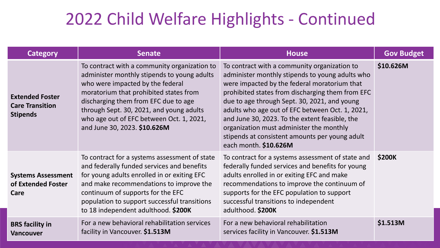#### 2022 Child Welfare Highlights - Continued

| <b>Category</b>                                                     | <b>Senate</b>                                                                                                                                                                                                                                                                                                                             | <b>House</b>                                                                                                                                                                                                                                                                                                                                                                                                                                                                    | <b>Gov Budget</b> |
|---------------------------------------------------------------------|-------------------------------------------------------------------------------------------------------------------------------------------------------------------------------------------------------------------------------------------------------------------------------------------------------------------------------------------|---------------------------------------------------------------------------------------------------------------------------------------------------------------------------------------------------------------------------------------------------------------------------------------------------------------------------------------------------------------------------------------------------------------------------------------------------------------------------------|-------------------|
| <b>Extended Foster</b><br><b>Care Transition</b><br><b>Stipends</b> | To contract with a community organization to<br>administer monthly stipends to young adults<br>who were impacted by the federal<br>moratorium that prohibited states from<br>discharging them from EFC due to age<br>through Sept. 30, 2021, and young adults<br>who age out of EFC between Oct. 1, 2021,<br>and June 30, 2023. \$10.626M | To contract with a community organization to<br>administer monthly stipends to young adults who<br>were impacted by the federal moratorium that<br>prohibited states from discharging them from EFC<br>due to age through Sept. 30, 2021, and young<br>adults who age out of EFC between Oct. 1, 2021,<br>and June 30, 2023. To the extent feasible, the<br>organization must administer the monthly<br>stipends at consistent amounts per young adult<br>each month. \$10.626M | \$10.626M         |
| <b>Systems Assessment</b><br>of Extended Foster<br>Care             | To contract for a systems assessment of state<br>and federally funded services and benefits<br>for young adults enrolled in or exiting EFC<br>and make recommendations to improve the<br>continuum of supports for the EFC<br>population to support successful transitions<br>to 18 independent adulthood. \$200K                         | To contract for a systems assessment of state and<br>federally funded services and benefits for young<br>adults enrolled in or exiting EFC and make<br>recommendations to improve the continuum of<br>supports for the EFC population to support<br>successful transitions to independent<br>adulthood. \$200K                                                                                                                                                                  | <b>\$200K</b>     |
| <b>BRS</b> facility in<br><b>Vancouver</b>                          | For a new behavioral rehabilitation services<br>facility in Vancouver. \$1.513M                                                                                                                                                                                                                                                           | For a new behavioral rehabilitation<br>services facility in Vancouver. \$1.513M                                                                                                                                                                                                                                                                                                                                                                                                 | \$1.513M          |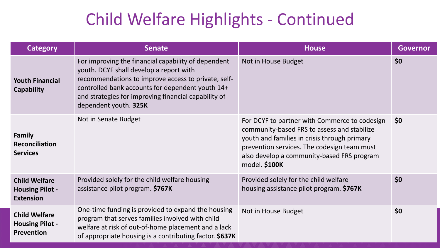### Child Welfare Highlights - Continued

| <b>Category</b>                                                    | <b>Senate</b>                                                                                                                                                                                                                                                                              | <b>House</b>                                                                                                                                                                                                                                               | <b>Governor</b> |
|--------------------------------------------------------------------|--------------------------------------------------------------------------------------------------------------------------------------------------------------------------------------------------------------------------------------------------------------------------------------------|------------------------------------------------------------------------------------------------------------------------------------------------------------------------------------------------------------------------------------------------------------|-----------------|
| <b>Youth Financial</b><br>Capability                               | For improving the financial capability of dependent<br>youth. DCYF shall develop a report with<br>recommendations to improve access to private, self-<br>controlled bank accounts for dependent youth 14+<br>and strategies for improving financial capability of<br>dependent youth. 325K | Not in House Budget                                                                                                                                                                                                                                        | \$0             |
| <b>Family</b><br><b>Reconciliation</b><br><b>Services</b>          | Not in Senate Budget                                                                                                                                                                                                                                                                       | For DCYF to partner with Commerce to codesign<br>community-based FRS to assess and stabilize<br>youth and families in crisis through primary<br>prevention services. The codesign team must<br>also develop a community-based FRS program<br>model. \$100K | \$0             |
| <b>Child Welfare</b><br><b>Housing Pilot -</b><br><b>Extension</b> | Provided solely for the child welfare housing<br>assistance pilot program. \$767K                                                                                                                                                                                                          | Provided solely for the child welfare<br>housing assistance pilot program. \$767K                                                                                                                                                                          | \$0             |
| <b>Child Welfare</b><br><b>Housing Pilot -</b><br>Prevention       | One-time funding is provided to expand the housing<br>program that serves families involved with child<br>welfare at risk of out-of-home placement and a lack<br>of appropriate housing is a contributing factor. \$637K                                                                   | Not in House Budget                                                                                                                                                                                                                                        | \$0             |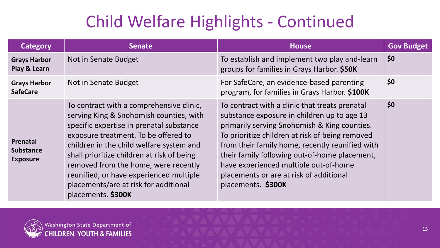# Child Welfare Highlights - Continued

| <b>Category</b>                                        | <b>Senate</b>                                                                                                                                                                                                                                                                                                                                                                                                       | <b>House</b>                                                                                                                                                                                                                                                                                                                                                                                                   | <b>Gov Budget</b> |
|--------------------------------------------------------|---------------------------------------------------------------------------------------------------------------------------------------------------------------------------------------------------------------------------------------------------------------------------------------------------------------------------------------------------------------------------------------------------------------------|----------------------------------------------------------------------------------------------------------------------------------------------------------------------------------------------------------------------------------------------------------------------------------------------------------------------------------------------------------------------------------------------------------------|-------------------|
| <b>Grays Harbor</b><br>Play & Learn                    | Not in Senate Budget                                                                                                                                                                                                                                                                                                                                                                                                | To establish and implement two play and-learn<br>groups for families in Grays Harbor. \$50K                                                                                                                                                                                                                                                                                                                    | \$0               |
| <b>Grays Harbor</b><br><b>SafeCare</b>                 | Not in Senate Budget                                                                                                                                                                                                                                                                                                                                                                                                | For SafeCare, an evidence-based parenting<br>program, for families in Grays Harbor. \$100K                                                                                                                                                                                                                                                                                                                     | \$0               |
| <b>Prenatal</b><br><b>Substance</b><br><b>Exposure</b> | To contract with a comprehensive clinic,<br>serving King & Snohomish counties, with<br>specific expertise in prenatal substance<br>exposure treatment. To be offered to<br>children in the child welfare system and<br>shall prioritize children at risk of being<br>removed from the home, were recently<br>reunified, or have experienced multiple<br>placements/are at risk for additional<br>placements. \$300K | To contract with a clinic that treats prenatal<br>substance exposure in children up to age 13<br>primarily serving Snohomish & King counties.<br>To prioritize children at risk of being removed<br>from their family home, recently reunified with<br>their family following out-of-home placement,<br>have experienced multiple out-of-home<br>placements or are at risk of additional<br>placements. \$300K | \$0               |

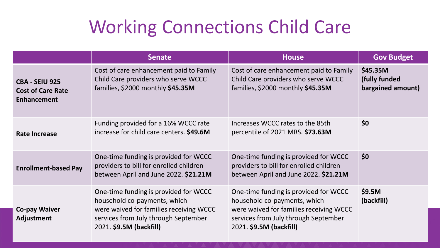# Working Connections Child Care

|                                                                         | <b>Senate</b>                                                                                                                                                                       | <b>House</b>                                                                                                                                                                        | <b>Gov Budget</b>                              |
|-------------------------------------------------------------------------|-------------------------------------------------------------------------------------------------------------------------------------------------------------------------------------|-------------------------------------------------------------------------------------------------------------------------------------------------------------------------------------|------------------------------------------------|
| <b>CBA - SEIU 925</b><br><b>Cost of Care Rate</b><br><b>Enhancement</b> | Cost of care enhancement paid to Family<br>Child Care providers who serve WCCC<br>families, \$2000 monthly \$45.35M                                                                 | Cost of care enhancement paid to Family<br>Child Care providers who serve WCCC<br>families, \$2000 monthly \$45.35M                                                                 | \$45.35M<br>(fully funded<br>bargained amount) |
| <b>Rate Increase</b>                                                    | Funding provided for a 16% WCCC rate<br>increase for child care centers. \$49.6M                                                                                                    | Increases WCCC rates to the 85th<br>percentile of 2021 MRS. \$73.63M                                                                                                                | \$0                                            |
| <b>Enrollment-based Pay</b>                                             | One-time funding is provided for WCCC<br>providers to bill for enrolled children<br>between April and June 2022. \$21.21M                                                           | One-time funding is provided for WCCC<br>providers to bill for enrolled children<br>between April and June 2022. \$21.21M                                                           | \$0                                            |
| <b>Co-pay Waiver</b><br><b>Adjustment</b>                               | One-time funding is provided for WCCC<br>household co-payments, which<br>were waived for families receiving WCCC<br>services from July through September<br>2021. \$9.5M (backfill) | One-time funding is provided for WCCC<br>household co-payments, which<br>were waived for families receiving WCCC<br>services from July through September<br>2021. \$9.5M (backfill) | \$9.5M<br>(backfill)                           |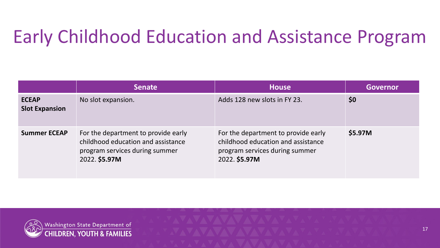# Early Childhood Education and Assistance Program

|                                       | <b>Senate</b>                                                                                                                | <b>House</b>                                                                                                                 | <b>Governor</b> |
|---------------------------------------|------------------------------------------------------------------------------------------------------------------------------|------------------------------------------------------------------------------------------------------------------------------|-----------------|
| <b>ECEAP</b><br><b>Slot Expansion</b> | No slot expansion.                                                                                                           | Adds 128 new slots in FY 23.                                                                                                 | \$0             |
| <b>Summer ECEAP</b>                   | For the department to provide early<br>childhood education and assistance<br>program services during summer<br>2022. \$5.97M | For the department to provide early<br>childhood education and assistance<br>program services during summer<br>2022. \$5.97M | \$5.97M         |

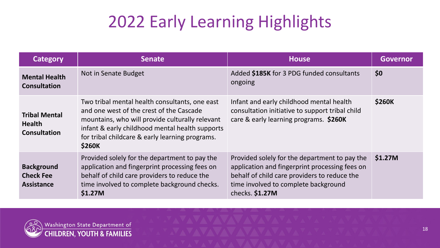# 2022 Early Learning Highlights

| Category                                                     | <b>Senate</b>                                                                                                                                                                                                                                                        | <b>House</b>                                                                                                                                                                                                | <b>Governor</b> |
|--------------------------------------------------------------|----------------------------------------------------------------------------------------------------------------------------------------------------------------------------------------------------------------------------------------------------------------------|-------------------------------------------------------------------------------------------------------------------------------------------------------------------------------------------------------------|-----------------|
| <b>Mental Health</b><br><b>Consultation</b>                  | Not in Senate Budget                                                                                                                                                                                                                                                 | Added \$185K for 3 PDG funded consultants<br>ongoing                                                                                                                                                        | \$0             |
| <b>Tribal Mental</b><br><b>Health</b><br><b>Consultation</b> | Two tribal mental health consultants, one east<br>and one west of the crest of the Cascade<br>mountains, who will provide culturally relevant<br>infant & early childhood mental health supports<br>for tribal childcare & early learning programs.<br><b>\$260K</b> | Infant and early childhood mental health<br>consultation initiative to support tribal child<br>care & early learning programs. \$260K                                                                       | <b>\$260K</b>   |
| <b>Background</b><br><b>Check Fee</b><br><b>Assistance</b>   | Provided solely for the department to pay the<br>application and fingerprint processing fees on<br>behalf of child care providers to reduce the<br>time involved to complete background checks.<br>\$1.27M                                                           | Provided solely for the department to pay the<br>application and fingerprint processing fees on<br>behalf of child care providers to reduce the<br>time involved to complete background<br>checks. $$1.27M$ | \$1.27M         |

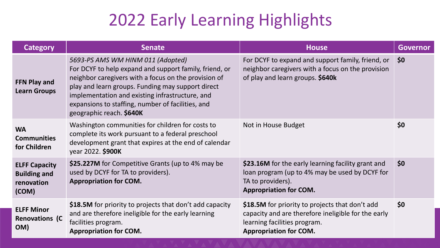### 2022 Early Learning Highlights

| <b>Category</b>                                                    | <b>Senate</b>                                                                                                                                                                                                                                                                                                                                | <b>House</b>                                                                                                                                                            | <b>Governor</b> |
|--------------------------------------------------------------------|----------------------------------------------------------------------------------------------------------------------------------------------------------------------------------------------------------------------------------------------------------------------------------------------------------------------------------------------|-------------------------------------------------------------------------------------------------------------------------------------------------------------------------|-----------------|
| <b>FFN Play and</b><br><b>Learn Groups</b>                         | 5693-PS AMS WM HINM 011 (Adopted)<br>For DCYF to help expand and support family, friend, or<br>neighbor caregivers with a focus on the provision of<br>play and learn groups. Funding may support direct<br>implementation and existing infrastructure, and<br>expansions to staffing, number of facilities, and<br>geographic reach. \$640K | For DCYF to expand and support family, friend, or<br>neighbor caregivers with a focus on the provision<br>of play and learn groups. \$640k                              | \$0             |
| <b>WA</b><br><b>Communities</b><br>for Children                    | Washington communities for children for costs to<br>complete its work pursuant to a federal preschool<br>development grant that expires at the end of calendar<br>year 2022. \$900K                                                                                                                                                          | Not in House Budget                                                                                                                                                     | \$0             |
| <b>ELFF Capacity</b><br><b>Building and</b><br>renovation<br>(COM) | \$25.227M for Competitive Grants (up to 4% may be<br>used by DCYF for TA to providers).<br><b>Appropriation for COM.</b>                                                                                                                                                                                                                     | \$23.16M for the early learning facility grant and<br>loan program (up to 4% may be used by DCYF for<br>TA to providers).<br><b>Appropriation for COM.</b>              | 50              |
| <b>ELFF Minor</b><br><b>Renovations (C</b><br>OM)                  | \$18.5M for priority to projects that don't add capacity<br>and are therefore ineligible for the early learning<br>facilities program.<br><b>Appropriation for COM.</b>                                                                                                                                                                      | \$18.5M for priority to projects that don't add<br>capacity and are therefore ineligible for the early<br>learning facilities program.<br><b>Appropriation for COM.</b> | \$0             |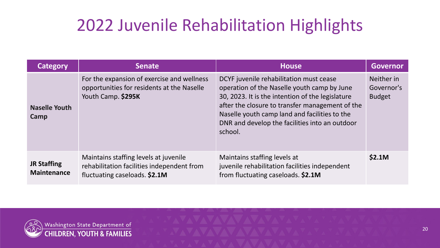# 2022 Juvenile Rehabilitation Highlights

| <b>Category</b>                          | <b>Senate</b>                                                                                                        | <b>House</b>                                                                                                                                                                                                                                                                                                | <b>Governor</b>                           |
|------------------------------------------|----------------------------------------------------------------------------------------------------------------------|-------------------------------------------------------------------------------------------------------------------------------------------------------------------------------------------------------------------------------------------------------------------------------------------------------------|-------------------------------------------|
| <b>Naselle Youth</b><br>Camp             | For the expansion of exercise and wellness<br>opportunities for residents at the Naselle<br>Youth Camp. \$295K       | DCYF juvenile rehabilitation must cease<br>operation of the Naselle youth camp by June<br>30, 2023. It is the intention of the legislature<br>after the closure to transfer management of the<br>Naselle youth camp land and facilities to the<br>DNR and develop the facilities into an outdoor<br>school. | Neither in<br>Governor's<br><b>Budget</b> |
| <b>JR Staffing</b><br><b>Maintenance</b> | Maintains staffing levels at juvenile<br>rehabilitation facilities independent from<br>fluctuating caseloads. \$2.1M | Maintains staffing levels at<br>juvenile rehabilitation facilities independent<br>from fluctuating caseloads. \$2.1M                                                                                                                                                                                        | \$2.1M                                    |

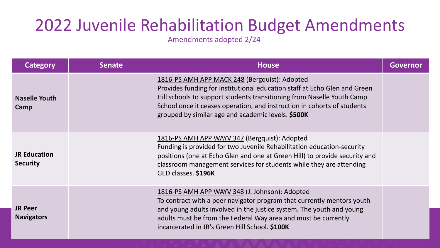### 2022 Juvenile Rehabilitation Budget Amendments

Amendments adopted 2/24

| <b>Category</b>                        | <b>Senate</b> | <b>House</b>                                                                                                                                                                                                                                                                                                                          | <b>Governor</b> |
|----------------------------------------|---------------|---------------------------------------------------------------------------------------------------------------------------------------------------------------------------------------------------------------------------------------------------------------------------------------------------------------------------------------|-----------------|
| <b>Naselle Youth</b><br>Camp           |               | 1816-PS AMH APP MACK 248 (Bergquist): Adopted<br>Provides funding for institutional education staff at Echo Glen and Green<br>Hill schools to support students transitioning from Naselle Youth Camp<br>School once it ceases operation, and instruction in cohorts of students<br>grouped by similar age and academic levels. \$500K |                 |
| <b>JR Education</b><br><b>Security</b> |               | 1816-PS AMH APP WAYV 347 (Bergquist): Adopted<br>Funding is provided for two Juvenile Rehabilitation education-security<br>positions (one at Echo Glen and one at Green Hill) to provide security and<br>classroom management services for students while they are attending<br>GED classes. \$196K                                   |                 |
| <b>JR Peer</b><br><b>Navigators</b>    |               | 1816-PS AMH APP WAYV 348 (J. Johnson): Adopted<br>To contract with a peer navigator program that currently mentors youth<br>and young adults involved in the justice system. The youth and young<br>adults must be from the Federal Way area and must be currently<br>incarcerated in JR's Green Hill School. \$100K                  |                 |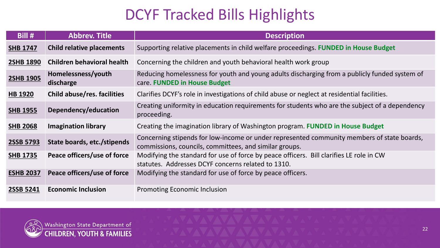#### DCYF Tracked Bills Highlights

| Bill #           | <b>Abbrev. Title</b>              | <b>Description</b>                                                                                                                                   |
|------------------|-----------------------------------|------------------------------------------------------------------------------------------------------------------------------------------------------|
| <b>SHB 1747</b>  | <b>Child relative placements</b>  | Supporting relative placements in child welfare proceedings. FUNDED in House Budget                                                                  |
| <b>2SHB 1890</b> | <b>Children behavioral health</b> | Concerning the children and youth behavioral health work group                                                                                       |
| <b>2SHB 1905</b> | Homelessness/youth<br>discharge   | Reducing homelessness for youth and young adults discharging from a publicly funded system of<br>care. FUNDED in House Budget                        |
| <b>HB 1920</b>   | Child abuse/res. facilities       | Clarifies DCYF's role in investigations of child abuse or neglect at residential facilities.                                                         |
| <b>SHB 1955</b>  | Dependency/education              | Creating uniformity in education requirements for students who are the subject of a dependency<br>proceeding.                                        |
| <b>SHB 2068</b>  | <b>Imagination library</b>        | Creating the imagination library of Washington program. FUNDED in House Budget                                                                       |
| 2SSB 5793        | State boards, etc./stipends       | Concerning stipends for low-income or under represented community members of state boards,<br>commissions, councils, committees, and similar groups. |
| <b>SHB 1735</b>  | Peace officers/use of force       | Modifying the standard for use of force by peace officers. Bill clarifies LE role in CW<br>statutes. Addresses DCYF concerns related to 1310.        |
| <b>ESHB 2037</b> | Peace officers/use of force       | Modifying the standard for use of force by peace officers.                                                                                           |
| 2SSB 5241        | <b>Economic Inclusion</b>         | <b>Promoting Economic Inclusion</b>                                                                                                                  |